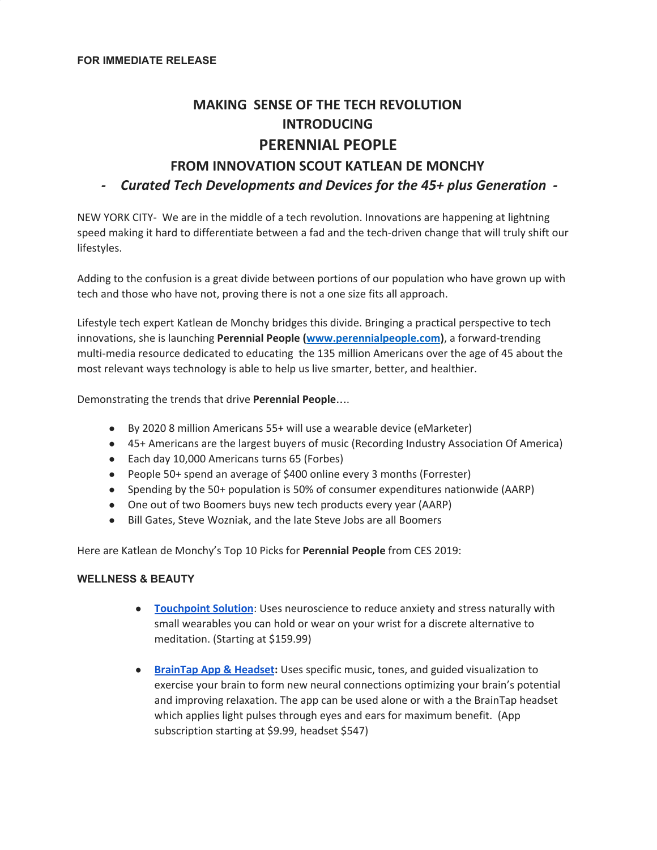# **MAKING SENSE OF THE TECH REVOLUTION INTRODUCING PERENNIAL PEOPLE FROM INNOVATION SCOUT KATLEAN DE MONCHY**

*- Curated Tech Developments and Devices for the 45+ plus Generation -*

NEW YORK CITY- We are in the middle of a tech revolution. Innovations are happening at lightning speed making it hard to differentiate between a fad and the tech-driven change that will truly shift our lifestyles.

Adding to the confusion is a great divide between portions of our population who have grown up with tech and those who have not, proving there is not a one size fits all approach.

Lifestyle tech expert Katlean de Monchy bridges this divide. Bringing a practical perspective to tech innovations, she is launching **Perennial People ([www.perennialpeople.com](http://www.perennial/))**, a forward-trending multi-media resource dedicated to educating the 135 million Americans over the age of 45 about the most relevant ways technology is able to help us live smarter, better, and healthier.

Demonstrating the trends that drive **Perennial People**….

- By 2020 8 million Americans 55+ will use a wearable device (eMarketer)
- 45+ Americans are the largest buyers of music (Recording Industry Association Of America)
- Each day 10,000 Americans turns 65 (Forbes)
- People 50+ spend an average of \$400 online every 3 months (Forrester)
- Spending by the 50+ population is 50% of consumer expenditures nationwide (AARP)
- One out of two Boomers buys new tech products every year (AARP)
- Bill Gates, Steve Wozniak, and the late Steve Jobs are all Boomers

Here are Katlean de Monchy's Top 10 Picks for **Perennial People** from CES 2019:

#### **WELLNESS & BEAUTY**

- **[Touchpoint](https://thetouchpointsolution.com/) Solution**: Uses neuroscience to reduce anxiety and stress naturally with small wearables you can hold or wear on your wrist for a discrete alternative to meditation. (Starting at \$159.99)
- **[BrainTap](https://braintaptech.com/) App & Headset:** Uses specific music, tones, and guided visualization to exercise your brain to form new neural connections optimizing your brain's potential and improving relaxation. The app can be used alone or with a the BrainTap headset which applies light pulses through eyes and ears for maximum benefit. (App subscription starting at \$9.99, headset \$547)